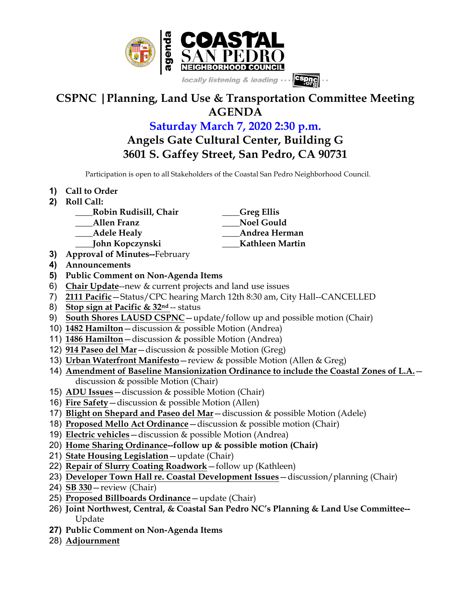

## **CSPNC |Planning, Land Use & Transportation Committee Meeting AGENDA**

**Saturday March 7, 2020 2:30 p.m.**

**Angels Gate Cultural Center, Building G 3601 S. Gaffey Street, San Pedro, CA 90731**

Participation is open to all Stakeholders of the Coastal San Pedro Neighborhood Council.

- **1) Call to Order**
- **2) Roll Call:**
	- **\_\_\_\_Robin Rudisill, Chair \_\_\_\_Greg Ellis**
	- **\_\_\_\_Allen Franz \_\_\_\_Noel Gould**
	- **\_\_\_\_Adele Healy \_\_\_\_Andrea Herman**
	- **\_\_\_\_John Kopczynski \_\_\_\_Kathleen Martin**
- **3) Approval of Minutes--**February
- **4) Announcements**
- **5) Public Comment on Non-Agenda Items**
- 6) **Chair Update**--new & current projects and land use issues
- 7) **2111 Pacific**—Status/CPC hearing March 12th 8:30 am, City Hall--CANCELLED
- 8) **Stop sign at Pacific & 32nd** -- status
- 9) **South Shores LAUSD CSPNC**—update/follow up and possible motion (Chair)
- 10) **1482 Hamilton**—discussion & possible Motion (Andrea)
- 11) **1486 Hamilton**—discussion & possible Motion (Andrea)
- 12) **914 Paseo del Mar**—discussion & possible Motion (Greg)
- 13) **Urban Waterfront Manifesto**—review & possible Motion (Allen & Greg)
- 14) **Amendment of Baseline Mansionization Ordinance to include the Coastal Zones of L.A.** discussion & possible Motion (Chair)
- 15) **ADU Issues**—discussion & possible Motion (Chair)
- 16) **Fire Safety**—discussion & possible Motion (Allen)
- 17) **Blight on Shepard and Paseo del Mar**—discussion & possible Motion (Adele)
- 18) **Proposed Mello Act Ordinance**—discussion & possible motion (Chair)
- 19) **Electric vehicles**—discussion & possible Motion (Andrea)
- 20) **Home Sharing Ordinance--follow up & possible motion (Chair)**
- 21) **State Housing Legislation**—update (Chair)
- 22) **Repair of Slurry Coating Roadwork**—follow up (Kathleen)
- 23) **Developer Town Hall re. Coastal Development Issues**—discussion/planning (Chair)
- 24) **SB 330**—review (Chair)
- 25) **Proposed Billboards Ordinance**—update (Chair)
- 26) **Joint Northwest, Central, & Coastal San Pedro NC's Planning & Land Use Committee--** Update
- **27) Public Comment on Non-Agenda Items**
- 28) **Adjournment**